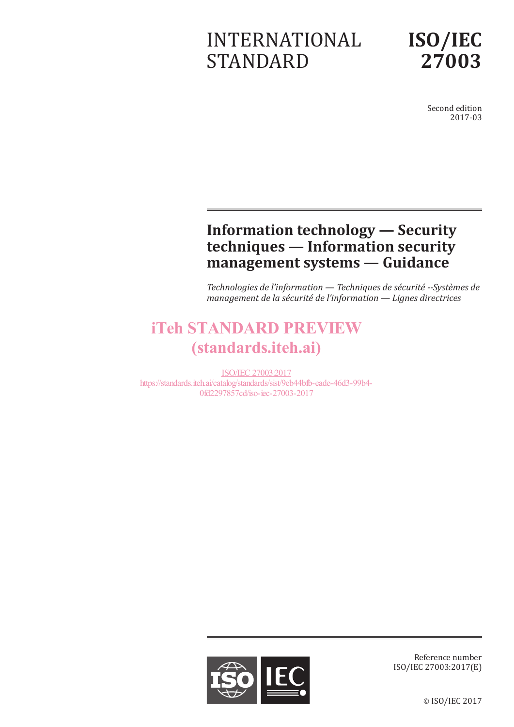# INTERNATIONAL STANDARD



Second edition 2017-03

## **Information technology — Security techniques — Information security management systems — Guidance**

*Technologies de l'information — Techniques de sécurité --Systèmes de management de la sécurité de l'information — Lignes directrices*

# iTeh STANDARD PREVIEW (standards.iteh.ai)

ISO/IEC 27003:2017 https://standards.iteh.ai/catalog/standards/sist/9eb44bfb-eade-46d3-99b4- 0fd2297857cd/iso-iec-27003-2017



Reference number ISO/IEC 27003:2017(E)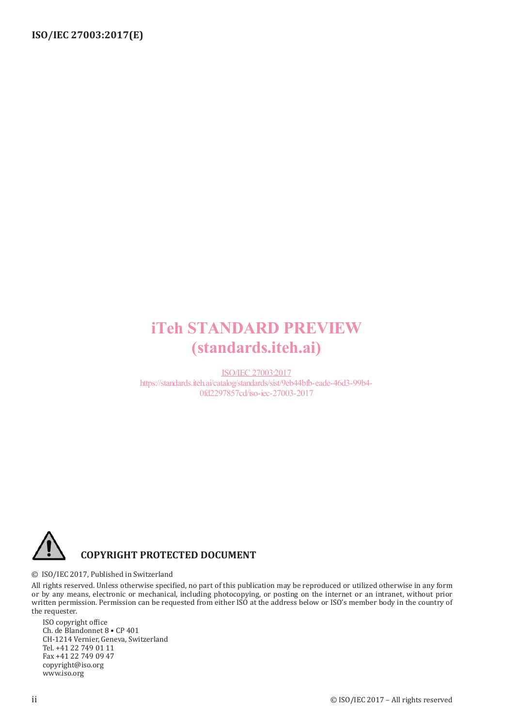# iTeh STANDARD PREVIEW (standards.iteh.ai)

ISO/IEC 27003:2017 https://standards.iteh.ai/catalog/standards/sist/9eb44bfb-eade-46d3-99b4- 0fd2297857cd/iso-iec-27003-2017



© ISO/IEC 2017, Published in Switzerland

All rights reserved. Unless otherwise specified, no part of this publication may be reproduced or utilized otherwise in any form or by any means, electronic or mechanical, including photocopying, or posting on the internet or an intranet, without prior written permission. Permission can be requested from either ISO at the address below or ISO's member body in the country of the requester.

ISO copyright office Ch. de Blandonnet 8 • CP 401 CH-1214 Vernier, Geneva, Switzerland Tel. +41 22 749 01 11 Fax +41 22 749 09 47 copyright@iso.org www.iso.org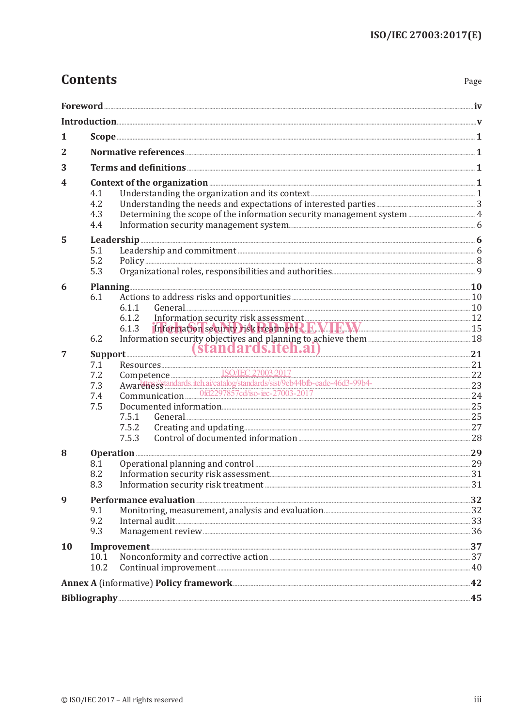## **Contents**

Page

| 1                                                                                                                                                                                                                                                                               |  |
|---------------------------------------------------------------------------------------------------------------------------------------------------------------------------------------------------------------------------------------------------------------------------------|--|
| $\mathbf{2}$                                                                                                                                                                                                                                                                    |  |
| 3                                                                                                                                                                                                                                                                               |  |
| Context of the organization <b>Exercise Context</b> of the organization <b>and the set of the organization 1</b><br>4<br>4.1<br>4.2<br>4.3<br>4.4                                                                                                                               |  |
| 5<br>5.1<br>5.2<br>5.3                                                                                                                                                                                                                                                          |  |
| Planning 10<br>6<br>6.1<br>6.1.1<br>12 Information security risk assessment<br>Information security risk treatment RJ PAY ITANY 15 15<br>6.1.2<br>6.1.3                                                                                                                         |  |
| 6.2<br>Support (standards.iteh.ai) 21<br>7<br>Resources<br>ESO/IEC 27003:2017<br>Awarenesstandards.iteh.ai/catalog/standards/sist/9eb44bfb-eade-46d3-99b4-<br>Communication 0fd2297857cd/iso-iec-27003-2017<br>24<br>7.1<br>7.2<br>7.3<br>7.4<br>7.5<br>7.5.1<br>7.5.2<br>7.5.3 |  |
| Operation 29<br>8<br>8.1<br>8.2<br>8.3                                                                                                                                                                                                                                          |  |
| 9<br>9.1<br>9.2<br>9.3                                                                                                                                                                                                                                                          |  |
| 10<br>10.1<br>10.2                                                                                                                                                                                                                                                              |  |
|                                                                                                                                                                                                                                                                                 |  |
|                                                                                                                                                                                                                                                                                 |  |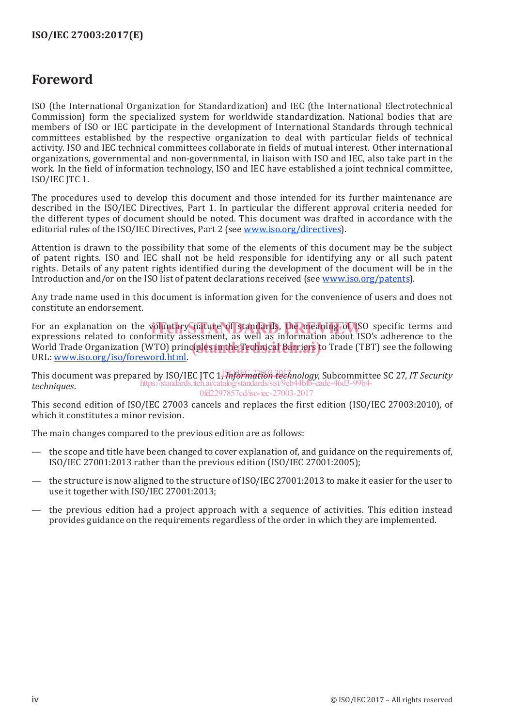## **Foreword**

ISO (the International Organization for Standardization) and IEC (the International Electrotechnical Commission) form the specialized system for worldwide standardization. National bodies that are members of ISO or IEC participate in the development of International Standards through technical committees established by the respective organization to deal with particular fields of technical activity. ISO and IEC technical committees collaborate in fields of mutual interest. Other international organizations, governmental and non-governmental, in liaison with ISO and IEC, also take part in the work. In the field of information technology, ISO and IEC have established a joint technical committee, ISO/IEC JTC 1.

The procedures used to develop this document and those intended for its further maintenance are described in the ISO/IEC Directives, Part 1. In particular the different approval criteria needed for the different types of document should be noted. This document was drafted in accordance with the editorial rules of the ISO/IEC Directives, Part 2 (see www.iso.org/directives).

Attention is drawn to the possibility that some of the elements of this document may be the subject of patent rights. ISO and IEC shall not be held responsible for identifying any or all such patent rights. Details of any patent rights identified during the development of the document will be in the Introduction and/or on the ISO list of patent declarations received (see www.iso.org/patents).

Any trade name used in this document is information given for the convenience of users and does not constitute an endorsement.

For an explanation on the voluntary hature of standards, the meaning of ISO specific terms and<br>expressions related to conformity assessment, as well as information about ISO's adherence to the expressions related to conformity assessment, as well as information about ISO's adherence to the enpressions related to conformity discomment, as well as information doesn't be standardied to the<br>World Trade Organization (WTO) principles in the Technical Barriers to Trade (TBT) see the following URL: www.iso.org/iso/foreword.html.

This document was prepared by ISO/IEC JTC 1<del>, *Information technology*, Subcommittee SC 27, *IT Security*</del> *techniques*. https://standards.iteh.ai/catalog/standards/sist/ 0fd2297857cd/iso-iec-27003-2017

This second edition of ISO/IEC 27003 cancels and replaces the first edition (ISO/IEC 27003:2010), of which it constitutes a minor revision.

The main changes compared to the previous edition are as follows:

- the scope and title have been changed to cover explanation of, and guidance on the requirements of, ISO/IEC 27001:2013 rather than the previous edition (ISO/IEC 27001:2005);
- the structure is now aligned to the structure of ISO/IEC 27001:2013 to make it easier for the user to use it together with ISO/IEC 27001:2013;
- the previous edition had a project approach with a sequence of activities. This edition instead provides guidance on the requirements regardless of the order in which they are implemented.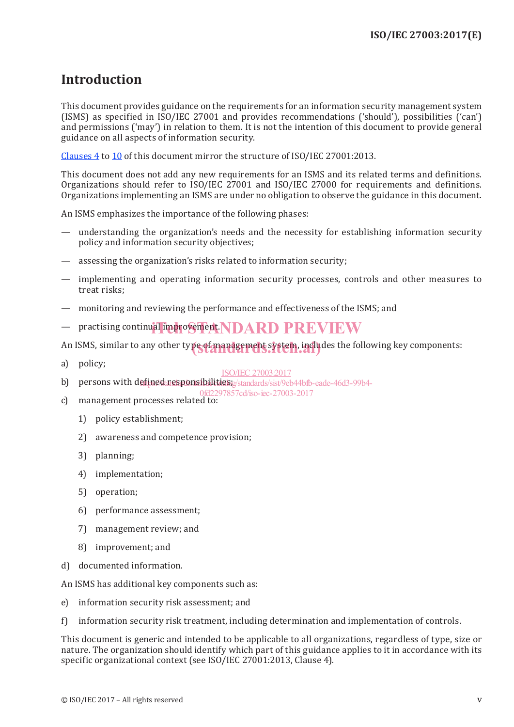## **Introduction**

This document provides guidance on the requirements for an information security management system (ISMS) as specified in ISO/IEC 27001 and provides recommendations ('should'), possibilities ('can') and permissions ('may') in relation to them. It is not the intention of this document to provide general guidance on all aspects of information security.

Clauses 4 to 10 of this document mirror the structure of ISO/IEC 27001:2013.

This document does not add any new requirements for an ISMS and its related terms and definitions. Organizations should refer to ISO/IEC 27001 and ISO/IEC 27000 for requirements and definitions. Organizations implementing an ISMS are under no obligation to observe the guidance in this document.

An ISMS emphasizes the importance of the following phases:

- understanding the organization's needs and the necessity for establishing information security policy and information security objectives;
- assessing the organization's risks related to information security;
- implementing and operating information security processes, controls and other measures to treat risks;
- monitoring and reviewing the performance and effectiveness of the ISMS; and
- practising continual improvement. NDARD PREVIEW

An ISMS, similar to any other type of management system, includes the following key components:

a) policy;

- ISO/IEC 27003:2017
- b) persons with defined responsibilities g/standards/sist/9eb44bfb-eade-46d3-99b4-

c) management processes related to: 0fd2297857cd/iso-iec-27003-2017

- - 1) policy establishment;
	- 2) awareness and competence provision;
	- 3) planning;
	- 4) implementation;
	- 5) operation;
	- 6) performance assessment;
	- 7) management review; and
	- 8) improvement; and
- d) documented information.

An ISMS has additional key components such as:

- e) information security risk assessment; and
- f) information security risk treatment, including determination and implementation of controls.

This document is generic and intended to be applicable to all organizations, regardless of type, size or nature. The organization should identify which part of this guidance applies to it in accordance with its specific organizational context (see ISO/IEC 27001:2013, Clause 4).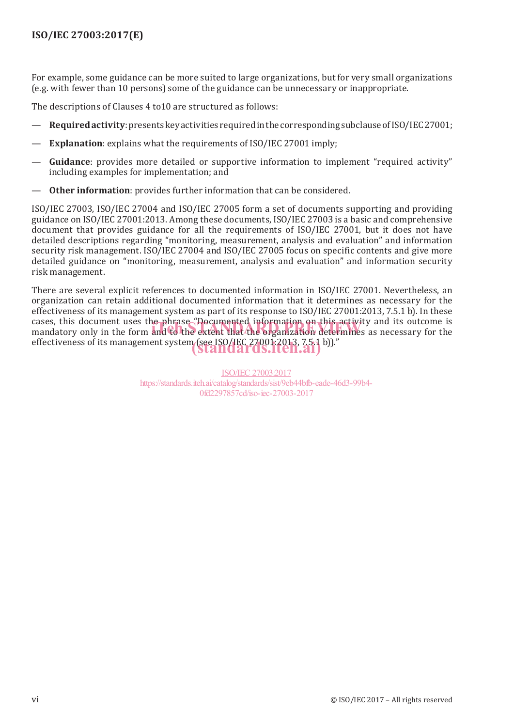## **ISO/IEC 27003:2017(E)**

For example, some guidance can be more suited to large organizations, but for very small organizations (e.g. with fewer than 10 persons) some of the guidance can be unnecessary or inappropriate.

The descriptions of Clauses 4 to10 are structured as follows:

- **Required activity**: presents key activities required in the corresponding subclause of ISO/IEC27001;
- **Explanation**: explains what the requirements of ISO/IEC 27001 imply:
- **Guidance**: provides more detailed or supportive information to implement "required activity" including examples for implementation; and
- **Other information**: provides further information that can be considered.

ISO/IEC 27003, ISO/IEC 27004 and ISO/IEC 27005 form a set of documents supporting and providing guidance on ISO/IEC 27001:2013. Among these documents, ISO/IEC 27003 is a basic and comprehensive document that provides guidance for all the requirements of ISO/IEC 27001, but it does not have detailed descriptions regarding "monitoring, measurement, analysis and evaluation" and information security risk management. ISO/IEC 27004 and ISO/IEC 27005 focus on specific contents and give more detailed guidance on "monitoring, measurement, analysis and evaluation" and information security risk management.

There are several explicit references to documented information in ISO/IEC 27001. Nevertheless, an organization can retain additional documented information that it determines as necessary for the effectiveness of its management system as part of its response to ISO/IEC 27001:2013, 7.5.1 b). In these cases, this document uses the phrase "Documented information on this activity and its outcome is cases, this document uses the phrase "Documented information on this activity and its outcome is<br>mandatory only in the form and to the extent that the organization determines as necessary for the effectiveness of its management system (see ISO/IEC 27001:2013, 7.5.1 b))."<br>Standards.iten.ai)

> ISO/IEC 27003:2017 https://standards.iteh.ai/catalog/standards/sist/9eb44bfb-eade-46d3-99b4- 0fd2297857cd/iso-iec-27003-2017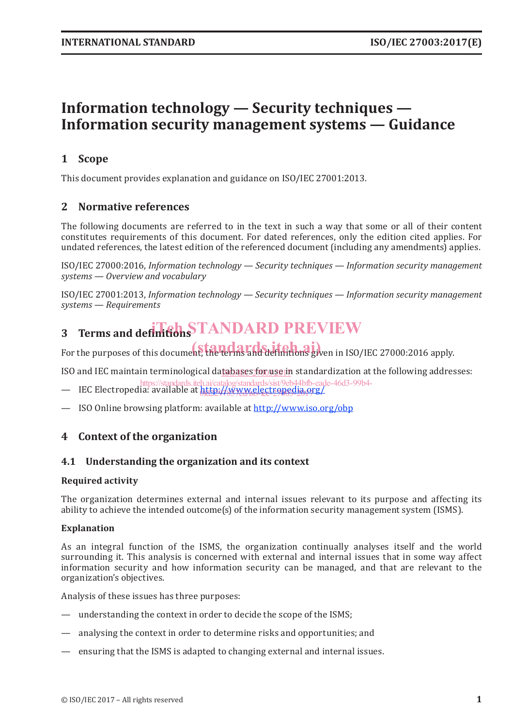## **Information technology — Security techniques — Information security management systems — Guidance**

## **1 Scope**

This document provides explanation and guidance on ISO/IEC 27001:2013.

### **2 Normative references**

The following documents are referred to in the text in such a way that some or all of their content constitutes requirements of this document. For dated references, only the edition cited applies. For undated references, the latest edition of the referenced document (including any amendments) applies.

ISO/IEC 27000:2016, *Information technology — Security techniques — Information security management systems — Overview and vocabulary*

ISO/IEC 27001:2013, *Information technology — Security techniques — Information security management systems — Requirements*

# **3** Terms and definitions **TANDARD PREVIEW**

For the purposes of this document, the terms and definitions given in ISO/IEC 27000:2016 apply.

ISO and IEC maintain terminological da<u>tabases:for use in</u> standardization at the following addresses:

- IEC Electropedia: available at <u>http://www.electropedia.org</u>/ https://standards.iteh.ai/catalog/standards/sist/9eb44bfb-eade-46d3-99b4- 0.0002297837cd/iso-iec-27003-2017
- ISO Online browsing platform: available at http://www.iso.org/obp

### **4 Context of the organization**

#### **4.1 Understanding the organization and its context**

#### **Required activity**

The organization determines external and internal issues relevant to its purpose and affecting its ability to achieve the intended outcome(s) of the information security management system (ISMS).

#### **Explanation**

As an integral function of the ISMS, the organization continually analyses itself and the world surrounding it. This analysis is concerned with external and internal issues that in some way affect information security and how information security can be managed, and that are relevant to the organization's objectives.

Analysis of these issues has three purposes:

- understanding the context in order to decide the scope of the ISMS;
- analysing the context in order to determine risks and opportunities; and
- ensuring that the ISMS is adapted to changing external and internal issues.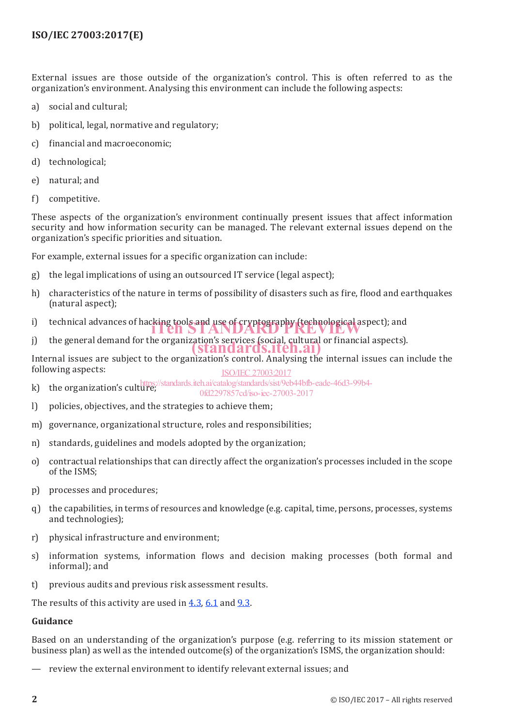External issues are those outside of the organization's control. This is often referred to as the organization's environment. Analysing this environment can include the following aspects:

- a) social and cultural;
- b) political, legal, normative and regulatory;
- c) financial and macroeconomic;
- d) technological;
- e) natural; and
- f) competitive.

These aspects of the organization's environment continually present issues that affect information security and how information security can be managed. The relevant external issues depend on the organization's specific priorities and situation.

For example, external issues for a specific organization can include:

- g) the legal implications of using an outsourced IT service (legal aspect);
- h) characteristics of the nature in terms of possibility of disasters such as fire, flood and earthquakes (natural aspect);
- i) technical advances of hacking tools and use of cryptography (technological aspect); and
- j) the general demand for the organization's services (social, cultural or financial aspects). (standards.iteh.ai)

Internal issues are subject to the organization's control. Analysing the internal issues can include the following aspects: ISO/IEC 27003:2017

- k) the organization's culture;  $\frac{https://standards.iteh.aicatalog/standards/sist/9eb44bfb-eade-46d3-99b4-  
0ft3297857cd/iso-ice-27003-2017$
- 0fd2297857cd/iso-iec-27003-2017
- l) policies, objectives, and the strategies to achieve them;
- m) governance, organizational structure, roles and responsibilities;
- n) standards, guidelines and models adopted by the organization;
- o) contractual relationships that can directly affect the organization's processes included in the scope of the ISMS;
- p) processes and procedures;
- q) the capabilities, in terms of resources and knowledge (e.g. capital, time, persons, processes, systems and technologies);
- r) physical infrastructure and environment;
- s) information systems, information flows and decision making processes (both formal and informal); and
- t) previous audits and previous risk assessment results.

The results of this activity are used in 4.3, 6.1 and 9.3.

#### **Guidance**

Based on an understanding of the organization's purpose (e.g. referring to its mission statement or business plan) as well as the intended outcome(s) of the organization's ISMS, the organization should:

— review the external environment to identify relevant external issues; and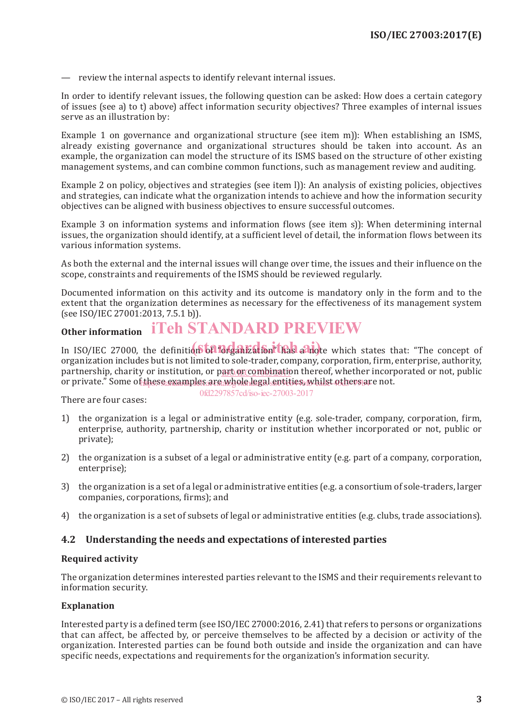— review the internal aspects to identify relevant internal issues.

In order to identify relevant issues, the following question can be asked: How does a certain category of issues (see a) to t) above) affect information security objectives? Three examples of internal issues serve as an illustration by:

Example 1 on governance and organizational structure (see item m)): When establishing an ISMS, already existing governance and organizational structures should be taken into account. As an example, the organization can model the structure of its ISMS based on the structure of other existing management systems, and can combine common functions, such as management review and auditing.

Example 2 on policy, objectives and strategies (see item l)): An analysis of existing policies, objectives and strategies, can indicate what the organization intends to achieve and how the information security objectives can be aligned with business objectives to ensure successful outcomes.

Example 3 on information systems and information flows (see item s)): When determining internal issues, the organization should identify, at a sufficient level of detail, the information flows between its various information systems.

As both the external and the internal issues will change over time, the issues and their influence on the scope, constraints and requirements of the ISMS should be reviewed regularly.

Documented information on this activity and its outcome is mandatory only in the form and to the extent that the organization determines as necessary for the effectiveness of its management system (see ISO/IEC 27001:2013, 7.5.1 b)).

# **Other information** iTeh STANDARD PREVIEW

In ISO/IEC 27000, the definition of **In anganization** thas a note which states that: "The concept of organization includes but is not limited to sole-trader, company, corporation, firm, enterprise, authority, partnership, charity or institution, or p<u>art or combinatio</u>n thereof, whether incorporated or not, public or private." Some of <u>these examples are whole legal entities, whils</u>t others are not.

There are four cases:

0fd2297857cd/iso-iec-27003-2017

- 1) the organization is a legal or administrative entity (e.g. sole-trader, company, corporation, firm, enterprise, authority, partnership, charity or institution whether incorporated or not, public or private);
- 2) the organization is a subset of a legal or administrative entity (e.g. part of a company, corporation, enterprise);
- 3) the organization is a set of a legal or administrative entities (e.g. a consortium of sole-traders, larger companies, corporations, firms); and
- 4) the organization is a set of subsets of legal or administrative entities (e.g. clubs, trade associations).

#### **4.2 Understanding the needs and expectations of interested parties**

#### **Required activity**

The organization determines interested parties relevant to the ISMS and their requirements relevant to information security.

#### **Explanation**

Interested party is a defined term (see ISO/IEC 27000:2016, 2.41) that refers to persons or organizations that can affect, be affected by, or perceive themselves to be affected by a decision or activity of the organization. Interested parties can be found both outside and inside the organization and can have specific needs, expectations and requirements for the organization's information security.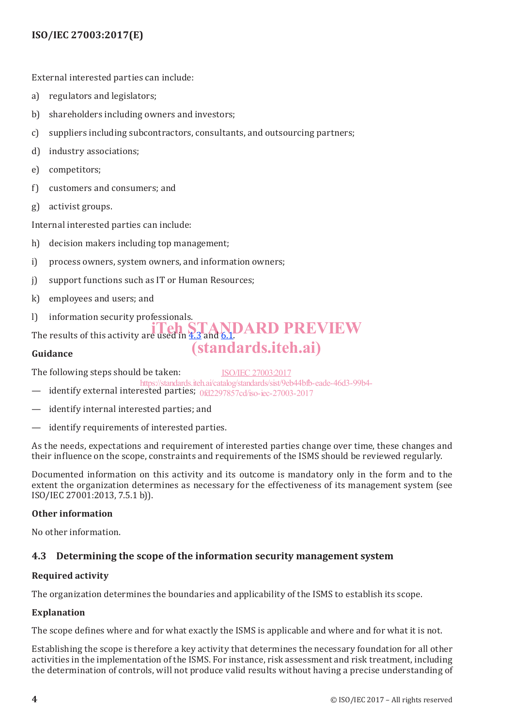## **ISO/IEC 27003:2017(E)**

External interested parties can include:

- a) regulators and legislators;
- b) shareholders including owners and investors;
- c) suppliers including subcontractors, consultants, and outsourcing partners;
- d) industry associations;
- e) competitors;
- f) customers and consumers; and
- g) activist groups.

Internal interested parties can include:

- h) decision makers including top management;
- i) process owners, system owners, and information owners;
- j) support functions such as IT or Human Resources;
- k) employees and users; and
- l) information security professionals.

### The results of this activity are used in  $\frac{1}{4.3}$  and  $\frac{6.1}{6.1}$ . **Guidance** (standards.iteh.ai)

The following steps should be taken:

ISO/IEC 27003:2017

- identify external interested parties; <sub>0fd2297857cd/iso-iec-27003-2017</sub> https://standards.iteh.ai/catalog/standards/sist/9eb44bfb-eade-46d3-99b4-
- identify internal interested parties; and
- identify requirements of interested parties.

As the needs, expectations and requirement of interested parties change over time, these changes and their influence on the scope, constraints and requirements of the ISMS should be reviewed regularly.

Documented information on this activity and its outcome is mandatory only in the form and to the extent the organization determines as necessary for the effectiveness of its management system (see ISO/IEC 27001:2013, 7.5.1 b)).

#### **Other information**

No other information.

#### **4.3 Determining the scope of the information security management system**

#### **Required activity**

The organization determines the boundaries and applicability of the ISMS to establish its scope.

#### **Explanation**

The scope defines where and for what exactly the ISMS is applicable and where and for what it is not.

Establishing the scope is therefore a key activity that determines the necessary foundation for all other activities in the implementation of the ISMS. For instance, risk assessment and risk treatment, including the determination of controls, will not produce valid results without having a precise understanding of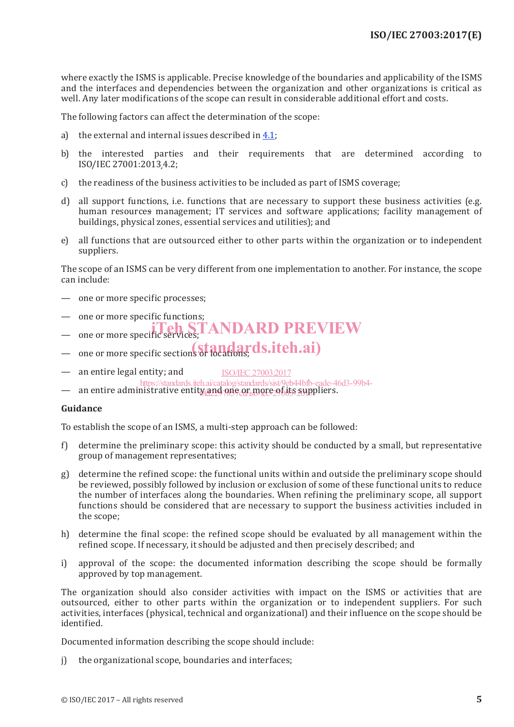where exactly the ISMS is applicable. Precise knowledge of the boundaries and applicability of the ISMS and the interfaces and dependencies between the organization and other organizations is critical as well. Any later modifications of the scope can result in considerable additional effort and costs.

The following factors can affect the determination of the scope:

- a) the external and internal issues described in 4.1;
- b) the interested parties and their requirements that are determined according to ISO/IEC 27001:2013¸4.2;
- c) the readiness of the business activities to be included as part of ISMS coverage;
- d) all support functions, i.e. functions that are necessary to support these business activities (e.g. human resources management; IT services and software applications; facility management of buildings, physical zones, essential services and utilities); and
- e) all functions that are outsourced either to other parts within the organization or to independent suppliers.

The scope of an ISMS can be very different from one implementation to another. For instance, the scope can include:

- one or more specific processes;
- one or more specific functions;
- one or more specific services; TANDARD PREVIEW
- one or more specific sections or locations; ds.iteh.ai)
- an entire legal entity; and
- https://standards.iteh.ai/catalog/standards/sist/9eb44bfb-eade-46d3-99b4-

#### — an entire administrative entity<sub>fd229</sub>7857cd/<sub>is0-ec-201655 suppliers.</sub>

#### **Guidance**

To establish the scope of an ISMS, a multi-step approach can be followed:

f) determine the preliminary scope: this activity should be conducted by a small, but representative group of management representatives;

ISO/IEC 27003:2017

- g) determine the refined scope: the functional units within and outside the preliminary scope should be reviewed, possibly followed by inclusion or exclusion of some of these functional units to reduce the number of interfaces along the boundaries. When refining the preliminary scope, all support functions should be considered that are necessary to support the business activities included in the scope;
- h) determine the final scope: the refined scope should be evaluated by all management within the refined scope. If necessary, it should be adjusted and then precisely described; and
- i) approval of the scope: the documented information describing the scope should be formally approved by top management.

The organization should also consider activities with impact on the ISMS or activities that are outsourced, either to other parts within the organization or to independent suppliers. For such activities, interfaces (physical, technical and organizational) and their influence on the scope should be identified.

Documented information describing the scope should include:

j) the organizational scope, boundaries and interfaces;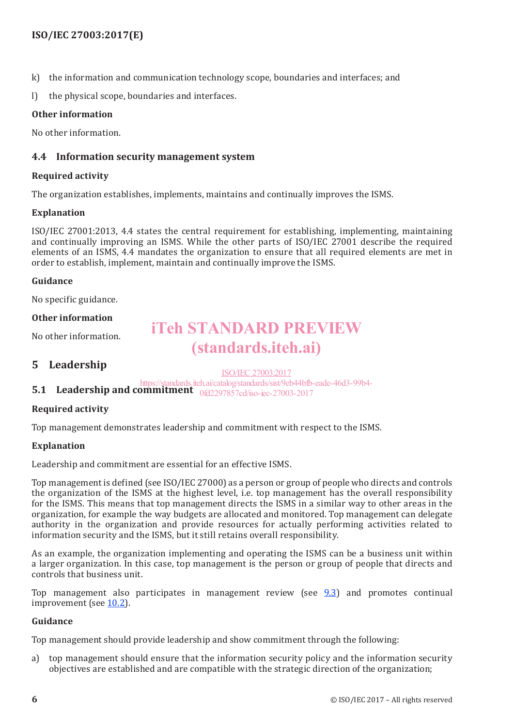## **ISO/IEC 27003:2017(E)**

- k) the information and communication technology scope, boundaries and interfaces; and
- l) the physical scope, boundaries and interfaces.

#### **Other information**

No other information.

### **4.4 Information security management system**

#### **Required activity**

The organization establishes, implements, maintains and continually improves the ISMS.

#### **Explanation**

ISO/IEC 27001:2013, 4.4 states the central requirement for establishing, implementing, maintaining and continually improving an ISMS. While the other parts of ISO/IEC 27001 describe the required elements of an ISMS, 4.4 mandates the organization to ensure that all required elements are met in order to establish, implement, maintain and continually improve the ISMS.

#### **Guidance**

No specific guidance.

#### **Other information**

No other information.

# iTeh STANDARD PREVIEW (standards.iteh.ai)

## **5 Leadership**

**5.1 Leadership and commitment**  $\frac{0.062297857c \text{d/s}}{0.062297857c \text{d/s}}$  . Exerce 27003-2017 ISO/IEC 27003:2017 https://standards.iteh.ai/catalog/standards/sist/9eb44bfb-eade-46d3-99b4-

#### **Required activity**

Top management demonstrates leadership and commitment with respect to the ISMS.

#### **Explanation**

Leadership and commitment are essential for an effective ISMS.

Top management is defined (see ISO/IEC 27000) as a person or group of people who directs and controls the organization of the ISMS at the highest level, i.e. top management has the overall responsibility for the ISMS. This means that top management directs the ISMS in a similar way to other areas in the organization, for example the way budgets are allocated and monitored. Top management can delegate authority in the organization and provide resources for actually performing activities related to information security and the ISMS, but it still retains overall responsibility.

As an example, the organization implementing and operating the ISMS can be a business unit within a larger organization. In this case, top management is the person or group of people that directs and controls that business unit.

Top management also participates in management review (see 9.3) and promotes continual improvement (see 10.2).

#### **Guidance**

Top management should provide leadership and show commitment through the following:

a) top management should ensure that the information security policy and the information security objectives are established and are compatible with the strategic direction of the organization;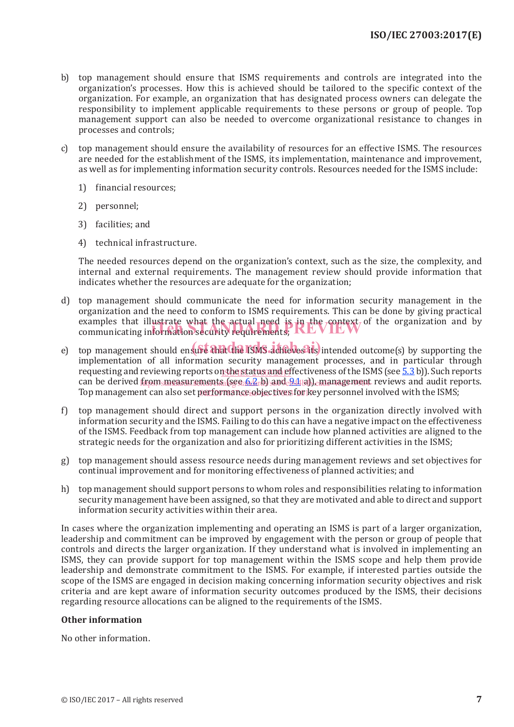- b) top management should ensure that ISMS requirements and controls are integrated into the organization's processes. How this is achieved should be tailored to the specific context of the organization. For example, an organization that has designated process owners can delegate the responsibility to implement applicable requirements to these persons or group of people. Top management support can also be needed to overcome organizational resistance to changes in processes and controls;
- c) top management should ensure the availability of resources for an effective ISMS. The resources are needed for the establishment of the ISMS, its implementation, maintenance and improvement, as well as for implementing information security controls. Resources needed for the ISMS include:
	- 1) financial resources;
	- 2) personnel;
	- 3) facilities; and
	- 4) technical infrastructure.

The needed resources depend on the organization's context, such as the size, the complexity, and internal and external requirements. The management review should provide information that indicates whether the resources are adequate for the organization;

- d) top management should communicate the need for information security management in the organization and the need to conform to ISMS requirements. This can be done by giving practical examples that illustrate what the actual need is in the context, of the organization and by examples that illustrate what the actual need is in the context of communicating information security requirements;
- e) top management should ensure that the ISMS achieves its intended outcome(s) by supporting the implementation of all information security management processes, and in particular through requesting and reviewing reports on <u>the status and ef</u>fectiveness of the ISMS (see <u>5.3</u> b)). Such reports can be derived from measurements (see 6.2 b) and 9.4 a)), management reviews and audit reports. Top management can also set p<u>erformance objectives for k</u>ey personnel involved with the ISMS;
- f) top management should direct and support persons in the organization directly involved with information security and the ISMS. Failing to do this can have a negative impact on the effectiveness of the ISMS. Feedback from top management can include how planned activities are aligned to the strategic needs for the organization and also for prioritizing different activities in the ISMS;
- g) top management should assess resource needs during management reviews and set objectives for continual improvement and for monitoring effectiveness of planned activities; and
- h) top management should support persons to whom roles and responsibilities relating to information security management have been assigned, so that they are motivated and able to direct and support information security activities within their area.

In cases where the organization implementing and operating an ISMS is part of a larger organization, leadership and commitment can be improved by engagement with the person or group of people that controls and directs the larger organization. If they understand what is involved in implementing an ISMS, they can provide support for top management within the ISMS scope and help them provide leadership and demonstrate commitment to the ISMS. For example, if interested parties outside the scope of the ISMS are engaged in decision making concerning information security objectives and risk criteria and are kept aware of information security outcomes produced by the ISMS, their decisions regarding resource allocations can be aligned to the requirements of the ISMS.

#### **Other information**

No other information.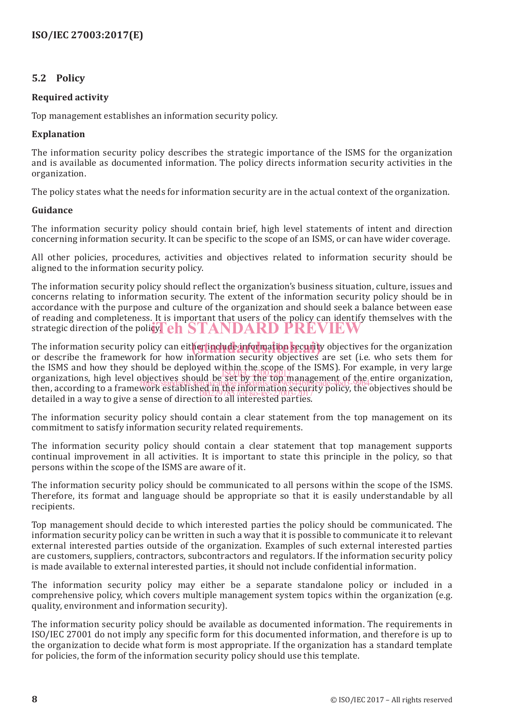### **5.2 Policy**

#### **Required activity**

Top management establishes an information security policy.

#### **Explanation**

The information security policy describes the strategic importance of the ISMS for the organization and is available as documented information. The policy directs information security activities in the organization.

The policy states what the needs for information security are in the actual context of the organization.

#### **Guidance**

The information security policy should contain brief, high level statements of intent and direction concerning information security. It can be specific to the scope of an ISMS, or can have wider coverage.

All other policies, procedures, activities and objectives related to information security should be aligned to the information security policy.

The information security policy should reflect the organization's business situation, culture, issues and concerns relating to information security. The extent of the information security policy should be in accordance with the purpose and culture of the organization and should seek a balance between ease of reading and completeness. It is important that users of the policy can identify themselves with the strategic direction of the policy. **The STANDARD PREVIEW** 

The information security policy can either include information **security** objectives for the organization or describe the framework for how information security objectives are set (i.e. who sets them for or describe the framework for how information security objectives are set (i.e. who sets them for the ISMS and how they should be deployed within the scope of the ISMS). For example, in very large organizations, high level objectives should be set by the top management of the entire organization, then, according to a framework established in the information security policy, the objectives should be detailed in a way to give a sense of direction to all interested parties. ISO/IEC 27003:2017 https://standards.iteh.ai/catalog/standards/sist/9eb44bfb-eade-46d3-99b4- 0fd2297857cd/iso-iec-27003-2017

The information security policy should contain a clear statement from the top management on its commitment to satisfy information security related requirements.

The information security policy should contain a clear statement that top management supports continual improvement in all activities. It is important to state this principle in the policy, so that persons within the scope of the ISMS are aware of it.

The information security policy should be communicated to all persons within the scope of the ISMS. Therefore, its format and language should be appropriate so that it is easily understandable by all recipients.

Top management should decide to which interested parties the policy should be communicated. The information security policy can be written in such a way that it is possible to communicate it to relevant external interested parties outside of the organization. Examples of such external interested parties are customers, suppliers, contractors, subcontractors and regulators. If the information security policy is made available to external interested parties, it should not include confidential information.

The information security policy may either be a separate standalone policy or included in a comprehensive policy, which covers multiple management system topics within the organization (e.g. quality, environment and information security).

The information security policy should be available as documented information. The requirements in ISO/IEC 27001 do not imply any specific form for this documented information, and therefore is up to the organization to decide what form is most appropriate. If the organization has a standard template for policies, the form of the information security policy should use this template.